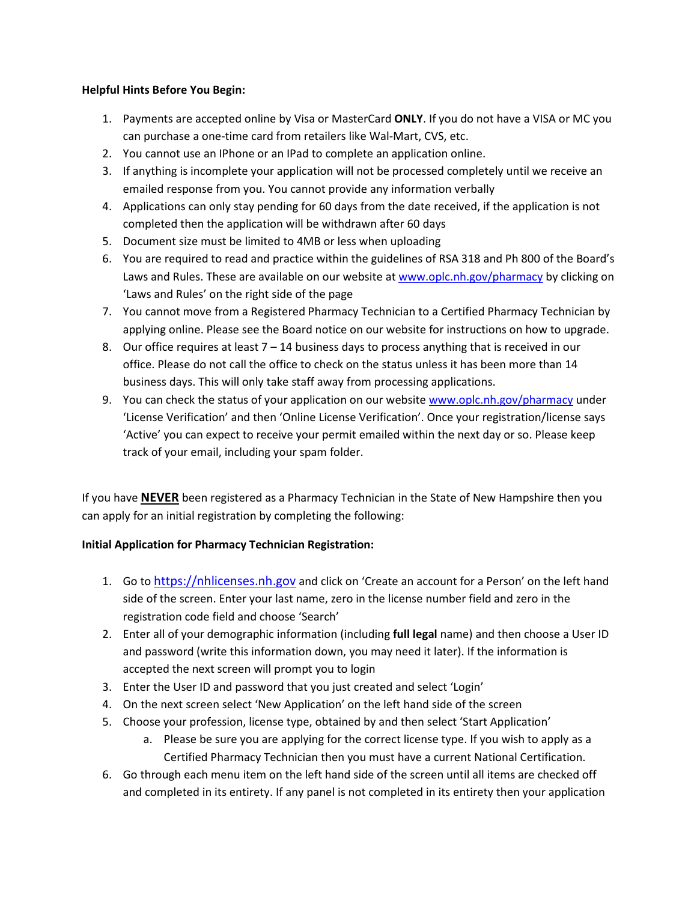## Helpful Hints Before You Begin:

- 1. Payments are accepted online by Visa or MasterCard ONLY. If you do not have a VISA or MC you can purchase a one-time card from retailers like Wal-Mart, CVS, etc.
- 2. You cannot use an IPhone or an IPad to complete an application online.
- 3. If anything is incomplete your application will not be processed completely until we receive an emailed response from you. You cannot provide any information verbally
- 4. Applications can only stay pending for 60 days from the date received, if the application is not completed then the application will be withdrawn after 60 days
- 5. Document size must be limited to 4MB or less when uploading
- 6. You are required to read and practice within the guidelines of RSA 318 and Ph 800 of the Board's Laws and Rules. These are available on our website at www.oplc.nh.gov/pharmacy by clicking on 'Laws and Rules' on the right side of the page
- 7. You cannot move from a Registered Pharmacy Technician to a Certified Pharmacy Technician by applying online. Please see the Board notice on our website for instructions on how to upgrade.
- 8. Our office requires at least  $7 14$  business days to process anything that is received in our office. Please do not call the office to check on the status unless it has been more than 14 business days. This will only take staff away from processing applications.
- 9. You can check the status of your application on our website www.oplc.nh.gov/pharmacy under 'License Verification' and then 'Online License Verification'. Once your registration/license says 'Active' you can expect to receive your permit emailed within the next day or so. Please keep track of your email, including your spam folder.

If you have **NEVER** been registered as a Pharmacy Technician in the State of New Hampshire then you can apply for an initial registration by completing the following:

## Initial Application for Pharmacy Technician Registration:

- 1. Go to https://nhlicenses.nh.gov and click on 'Create an account for a Person' on the left hand side of the screen. Enter your last name, zero in the license number field and zero in the registration code field and choose 'Search'
- 2. Enter all of your demographic information (including full legal name) and then choose a User ID and password (write this information down, you may need it later). If the information is accepted the next screen will prompt you to login
- 3. Enter the User ID and password that you just created and select 'Login'
- 4. On the next screen select 'New Application' on the left hand side of the screen
- 5. Choose your profession, license type, obtained by and then select 'Start Application'
	- a. Please be sure you are applying for the correct license type. If you wish to apply as a Certified Pharmacy Technician then you must have a current National Certification.
- 6. Go through each menu item on the left hand side of the screen until all items are checked off and completed in its entirety. If any panel is not completed in its entirety then your application